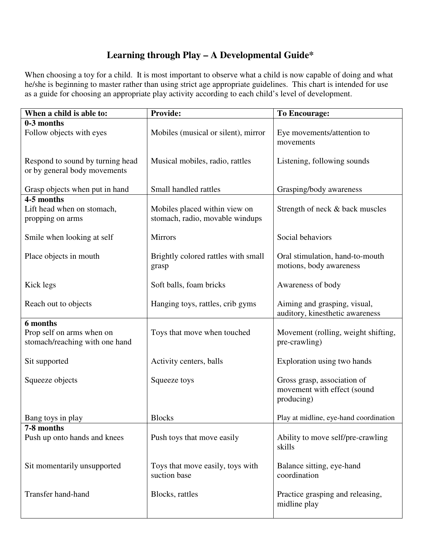## **Learning through Play – A Developmental Guide\***

When choosing a toy for a child. It is most important to observe what a child is now capable of doing and what he/she is beginning to master rather than using strict age appropriate guidelines. This chart is intended for use as a guide for choosing an appropriate play activity according to each child's level of development.

| When a child is able to:                                                | <b>Provide:</b>                                                  | <b>To Encourage:</b>                                                     |
|-------------------------------------------------------------------------|------------------------------------------------------------------|--------------------------------------------------------------------------|
| 0-3 months<br>Follow objects with eyes                                  | Mobiles (musical or silent), mirror                              | Eye movements/attention to<br>movements                                  |
| Respond to sound by turning head<br>or by general body movements        | Musical mobiles, radio, rattles                                  | Listening, following sounds                                              |
| Grasp objects when put in hand                                          | Small handled rattles                                            | Grasping/body awareness                                                  |
| 4-5 months<br>Lift head when on stomach,<br>propping on arms            | Mobiles placed within view on<br>stomach, radio, movable windups | Strength of neck & back muscles                                          |
| Smile when looking at self                                              | <b>Mirrors</b>                                                   | Social behaviors                                                         |
| Place objects in mouth                                                  | Brightly colored rattles with small<br>grasp                     | Oral stimulation, hand-to-mouth<br>motions, body awareness               |
| Kick legs                                                               | Soft balls, foam bricks                                          | Awareness of body                                                        |
| Reach out to objects                                                    | Hanging toys, rattles, crib gyms                                 | Aiming and grasping, visual,<br>auditory, kinesthetic awareness          |
| 6 months<br>Prop self on arms when on<br>stomach/reaching with one hand | Toys that move when touched                                      | Movement (rolling, weight shifting,<br>pre-crawling)                     |
| Sit supported                                                           | Activity centers, balls                                          | Exploration using two hands                                              |
| Squeeze objects                                                         | Squeeze toys                                                     | Gross grasp, association of<br>movement with effect (sound<br>producing) |
| Bang toys in play                                                       | <b>Blocks</b>                                                    | Play at midline, eye-hand coordination                                   |
| 7-8 months<br>Push up onto hands and knees                              | Push toys that move easily                                       | Ability to move self/pre-crawling<br>skills                              |
| Sit momentarily unsupported                                             | Toys that move easily, toys with<br>suction base                 | Balance sitting, eye-hand<br>coordination                                |
| <b>Transfer hand-hand</b>                                               | Blocks, rattles                                                  | Practice grasping and releasing,<br>midline play                         |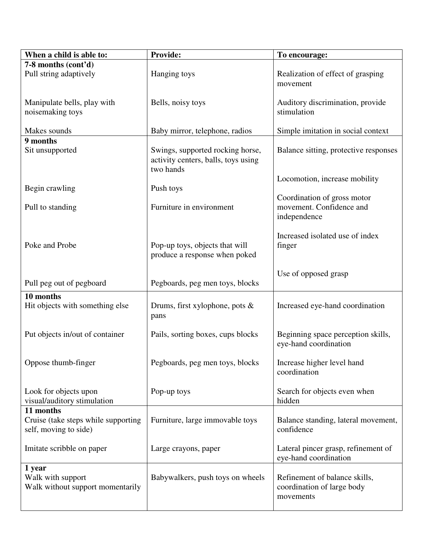| When a child is able to:                                                  | <b>Provide:</b>                                                                      | To encourage:                                                            |
|---------------------------------------------------------------------------|--------------------------------------------------------------------------------------|--------------------------------------------------------------------------|
| 7-8 months (cont'd)                                                       |                                                                                      |                                                                          |
| Pull string adaptively                                                    | Hanging toys                                                                         | Realization of effect of grasping<br>movement                            |
| Manipulate bells, play with                                               | Bells, noisy toys                                                                    | Auditory discrimination, provide                                         |
| noisemaking toys                                                          |                                                                                      | stimulation                                                              |
| Makes sounds                                                              | Baby mirror, telephone, radios                                                       | Simple imitation in social context                                       |
| 9 months<br>Sit unsupported                                               | Swings, supported rocking horse,<br>activity centers, balls, toys using<br>two hands | Balance sitting, protective responses                                    |
| Begin crawling                                                            | Push toys                                                                            | Locomotion, increase mobility                                            |
|                                                                           |                                                                                      | Coordination of gross motor                                              |
| Pull to standing                                                          | Furniture in environment                                                             | movement. Confidence and<br>independence                                 |
| Poke and Probe                                                            | Pop-up toys, objects that will<br>produce a response when poked                      | Increased isolated use of index<br>finger                                |
| Pull peg out of pegboard                                                  | Pegboards, peg men toys, blocks                                                      | Use of opposed grasp                                                     |
| 10 months                                                                 |                                                                                      |                                                                          |
| Hit objects with something else                                           | Drums, first xylophone, pots $\&$<br>pans                                            | Increased eye-hand coordination                                          |
| Put objects in/out of container                                           | Pails, sorting boxes, cups blocks                                                    | Beginning space perception skills,<br>eye-hand coordination              |
| Oppose thumb-finger                                                       | Pegboards, peg men toys, blocks                                                      | Increase higher level hand<br>coordination                               |
| Look for objects upon<br>visual/auditory stimulation                      | Pop-up toys                                                                          | Search for objects even when<br>hidden                                   |
| 11 months<br>Cruise (take steps while supporting<br>self, moving to side) | Furniture, large immovable toys                                                      | Balance standing, lateral movement,<br>confidence                        |
| Imitate scribble on paper                                                 | Large crayons, paper                                                                 | Lateral pincer grasp, refinement of<br>eye-hand coordination             |
| 1 year<br>Walk with support<br>Walk without support momentarily           | Babywalkers, push toys on wheels                                                     | Refinement of balance skills,<br>coordination of large body<br>movements |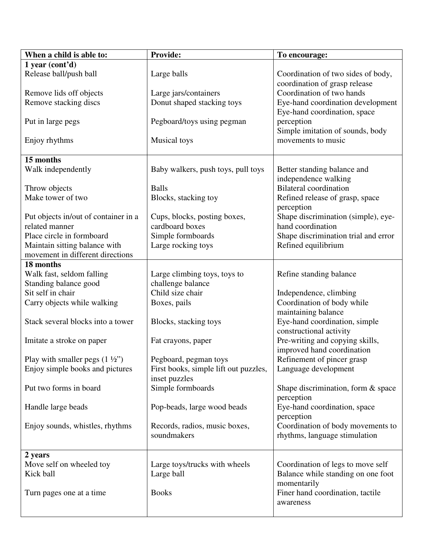| When a child is able to:                 | <b>Provide:</b>                       | To encourage:                                                       |
|------------------------------------------|---------------------------------------|---------------------------------------------------------------------|
| $1$ year (cont'd)                        |                                       |                                                                     |
| Release ball/push ball                   | Large balls                           | Coordination of two sides of body,<br>coordination of grasp release |
| Remove lids off objects                  | Large jars/containers                 | Coordination of two hands                                           |
| Remove stacking discs                    | Donut shaped stacking toys            | Eye-hand coordination development                                   |
|                                          |                                       | Eye-hand coordination, space                                        |
| Put in large pegs                        | Pegboard/toys using pegman            | perception<br>Simple imitation of sounds, body                      |
| Enjoy rhythms                            | <b>Musical</b> toys                   | movements to music                                                  |
| 15 months                                |                                       |                                                                     |
| Walk independently                       | Baby walkers, push toys, pull toys    | Better standing balance and<br>independence walking                 |
| Throw objects                            | <b>Balls</b>                          | <b>Bilateral</b> coordination                                       |
| Make tower of two                        | Blocks, stacking toy                  | Refined release of grasp, space                                     |
|                                          |                                       | perception                                                          |
| Put objects in/out of container in a     | Cups, blocks, posting boxes,          | Shape discrimination (simple), eye-                                 |
| related manner                           | cardboard boxes                       | hand coordination                                                   |
| Place circle in formboard                | Simple formboards                     | Shape discrimination trial and error                                |
| Maintain sitting balance with            | Large rocking toys                    | Refined equilibrium                                                 |
| movement in different directions         |                                       |                                                                     |
| 18 months                                |                                       |                                                                     |
| Walk fast, seldom falling                | Large climbing toys, toys to          | Refine standing balance                                             |
| Standing balance good                    | challenge balance                     |                                                                     |
| Sit self in chair                        | Child size chair                      | Independence, climbing                                              |
| Carry objects while walking              | Boxes, pails                          | Coordination of body while                                          |
|                                          |                                       | maintaining balance                                                 |
| Stack several blocks into a tower        | Blocks, stacking toys                 | Eye-hand coordination, simple                                       |
|                                          |                                       | constructional activity                                             |
| Imitate a stroke on paper                | Fat crayons, paper                    | Pre-writing and copying skills,                                     |
|                                          |                                       | improved hand coordination                                          |
| Play with smaller pegs $(1 \frac{1}{2})$ | Pegboard, pegman toys                 | Refinement of pincer grasp                                          |
| Enjoy simple books and pictures          | First books, simple lift out puzzles, | Language development                                                |
|                                          | inset puzzles                         |                                                                     |
| Put two forms in board                   | Simple formboards                     | Shape discrimination, form & space                                  |
|                                          |                                       | perception                                                          |
| Handle large beads                       | Pop-beads, large wood beads           | Eye-hand coordination, space<br>perception                          |
| Enjoy sounds, whistles, rhythms          | Records, radios, music boxes,         | Coordination of body movements to                                   |
|                                          | soundmakers                           | rhythms, language stimulation                                       |
|                                          |                                       |                                                                     |
| 2 years                                  |                                       |                                                                     |
| Move self on wheeled toy                 | Large toys/trucks with wheels         | Coordination of legs to move self                                   |
| Kick ball                                | Large ball                            | Balance while standing on one foot                                  |
|                                          |                                       | momentarily                                                         |
| Turn pages one at a time.                | <b>Books</b>                          | Finer hand coordination, tactile                                    |
|                                          |                                       | awareness                                                           |
|                                          |                                       |                                                                     |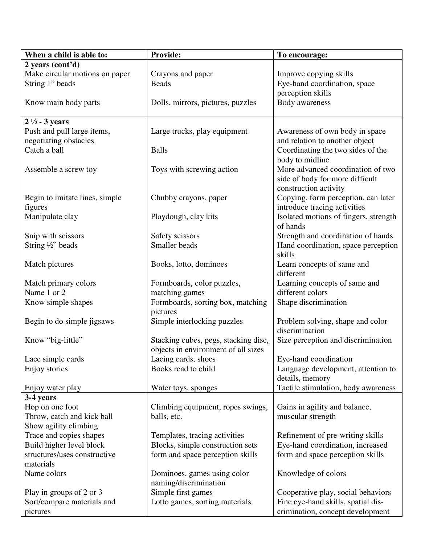| When a child is able to:                      | Provide:                                                          | To encourage:                                                        |
|-----------------------------------------------|-------------------------------------------------------------------|----------------------------------------------------------------------|
| 2 years (cont'd)                              |                                                                   |                                                                      |
| Make circular motions on paper                | Crayons and paper                                                 | Improve copying skills                                               |
| String 1" beads                               | <b>Beads</b>                                                      | Eye-hand coordination, space                                         |
|                                               |                                                                   | perception skills                                                    |
| Know main body parts                          | Dolls, mirrors, pictures, puzzles                                 | Body awareness                                                       |
|                                               |                                                                   |                                                                      |
| $2\frac{1}{2}$ - 3 years                      |                                                                   |                                                                      |
| Push and pull large items,                    | Large trucks, play equipment                                      | Awareness of own body in space                                       |
| negotiating obstacles                         |                                                                   | and relation to another object                                       |
| Catch a ball                                  | <b>Balls</b>                                                      | Coordinating the two sides of the                                    |
|                                               |                                                                   | body to midline                                                      |
| Assemble a screw toy                          | Toys with screwing action                                         | More advanced coordination of two                                    |
|                                               |                                                                   | side of body for more difficult                                      |
|                                               |                                                                   | construction activity                                                |
| Begin to imitate lines, simple                | Chubby crayons, paper                                             | Copying, form perception, can later                                  |
| figures                                       |                                                                   | introduce tracing activities                                         |
| Manipulate clay                               | Playdough, clay kits                                              | Isolated motions of fingers, strength                                |
|                                               |                                                                   | of hands                                                             |
| Snip with scissors                            | Safety scissors                                                   | Strength and coordination of hands                                   |
| String 1/2" beads                             | Smaller beads                                                     | Hand coordination, space perception                                  |
|                                               |                                                                   | skills                                                               |
| Match pictures                                | Books, lotto, dominoes                                            | Learn concepts of same and                                           |
|                                               |                                                                   | different                                                            |
| Match primary colors                          | Formboards, color puzzles,                                        | Learning concepts of same and                                        |
| Name 1 or 2                                   | matching games                                                    | different colors                                                     |
| Know simple shapes                            | Formboards, sorting box, matching                                 | Shape discrimination                                                 |
|                                               | pictures                                                          |                                                                      |
| Begin to do simple jigsaws                    | Simple interlocking puzzles                                       | Problem solving, shape and color                                     |
|                                               |                                                                   | discrimination                                                       |
| Know "big-little"                             | Stacking cubes, pegs, stacking disc,                              | Size perception and discrimination                                   |
|                                               | objects in environment of all sizes                               |                                                                      |
| Lace simple cards                             | Lacing cards, shoes                                               | Eye-hand coordination                                                |
| Enjoy stories                                 | Books read to child                                               | Language development, attention to                                   |
|                                               |                                                                   | details, memory                                                      |
| Enjoy water play                              | Water toys, sponges                                               | Tactile stimulation, body awareness                                  |
| 3-4 years                                     |                                                                   |                                                                      |
| Hop on one foot<br>Throw, catch and kick ball | Climbing equipment, ropes swings,                                 | Gains in agility and balance,                                        |
| Show agility climbing                         | balls, etc.                                                       | muscular strength                                                    |
| Trace and copies shapes                       |                                                                   |                                                                      |
| Build higher level block                      | Templates, tracing activities<br>Blocks, simple construction sets | Refinement of pre-writing skills<br>Eye-hand coordination, increased |
| structures/uses constructive                  | form and space perception skills                                  | form and space perception skills                                     |
| materials                                     |                                                                   |                                                                      |
| Name colors                                   | Dominoes, games using color                                       | Knowledge of colors                                                  |
|                                               | naming/discrimination                                             |                                                                      |
| Play in groups of 2 or 3                      | Simple first games                                                | Cooperative play, social behaviors                                   |
| Sort/compare materials and                    | Lotto games, sorting materials                                    | Fine eye-hand skills, spatial dis-                                   |
| pictures                                      |                                                                   | crimination, concept development                                     |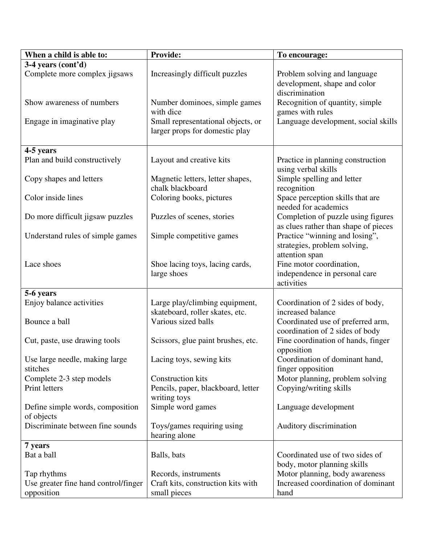| When a child is able to:                       | <b>Provide:</b>                                                      | To encourage:                                                                    |
|------------------------------------------------|----------------------------------------------------------------------|----------------------------------------------------------------------------------|
| 3-4 years (cont'd)                             |                                                                      |                                                                                  |
| Complete more complex jigsaws                  | Increasingly difficult puzzles                                       | Problem solving and language<br>development, shape and color<br>discrimination   |
| Show awareness of numbers                      | Number dominoes, simple games<br>with dice                           | Recognition of quantity, simple<br>games with rules                              |
| Engage in imaginative play                     | Small representational objects, or<br>larger props for domestic play | Language development, social skills                                              |
| 4-5 years                                      |                                                                      |                                                                                  |
| Plan and build constructively                  | Layout and creative kits                                             | Practice in planning construction<br>using verbal skills                         |
| Copy shapes and letters                        | Magnetic letters, letter shapes,<br>chalk blackboard                 | Simple spelling and letter<br>recognition                                        |
| Color inside lines                             | Coloring books, pictures                                             | Space perception skills that are<br>needed for academics                         |
| Do more difficult jigsaw puzzles               | Puzzles of scenes, stories                                           | Completion of puzzle using figures<br>as clues rather than shape of pieces       |
| Understand rules of simple games               | Simple competitive games                                             | Practice "winning and losing",<br>strategies, problem solving,<br>attention span |
| Lace shoes                                     | Shoe lacing toys, lacing cards,<br>large shoes                       | Fine motor coordination,<br>independence in personal care<br>activities          |
| 5-6 years                                      |                                                                      |                                                                                  |
|                                                |                                                                      |                                                                                  |
| Enjoy balance activities                       | Large play/climbing equipment,<br>skateboard, roller skates, etc.    | Coordination of 2 sides of body,<br>increased balance                            |
| Bounce a ball                                  | Various sized balls                                                  | Coordinated use of preferred arm,<br>coordination of 2 sides of body             |
| Cut, paste, use drawing tools                  | Scissors, glue paint brushes, etc.                                   | Fine coordination of hands, finger<br>opposition                                 |
| Use large needle, making large<br>stitches     | Lacing toys, sewing kits                                             | Coordination of dominant hand,<br>finger opposition                              |
| Complete 2-3 step models                       | <b>Construction kits</b>                                             | Motor planning, problem solving                                                  |
| Print letters                                  | Pencils, paper, blackboard, letter<br>writing toys                   | Copying/writing skills                                                           |
| Define simple words, composition<br>of objects | Simple word games                                                    | Language development                                                             |
| Discriminate between fine sounds               | Toys/games requiring using<br>hearing alone                          | Auditory discrimination                                                          |
| 7 years                                        |                                                                      |                                                                                  |
| Bat a ball                                     | Balls, bats                                                          | Coordinated use of two sides of<br>body, motor planning skills                   |
| Tap rhythms                                    | Records, instruments                                                 | Motor planning, body awareness                                                   |
| Use greater fine hand control/finger           | Craft kits, construction kits with                                   | Increased coordination of dominant                                               |
| opposition                                     | small pieces                                                         | hand                                                                             |